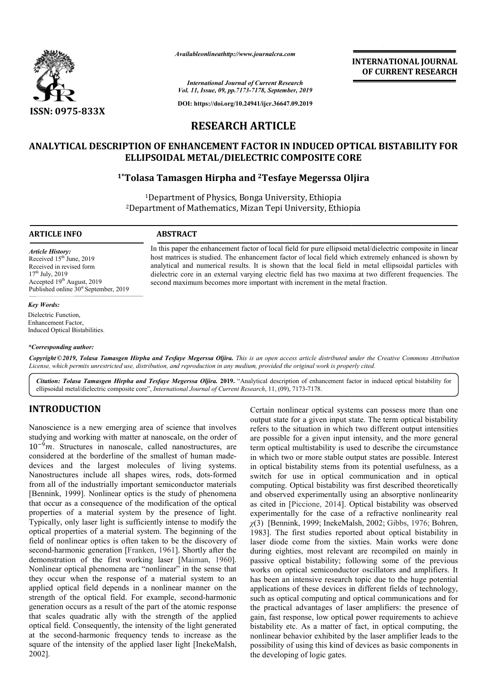

*Availableonlineathttp://www.journal Availableonlineathttp://www.journalcra.com*

*International Journal of Current Research Vol. 11, Issue, 09, pp.7173-7178, September, 2019*

**DOI: https://doi.org/10.24941/ijcr.36647.09.2019**

# **RESEARCH ARTICLE**

# ANALYTICAL DESCRIPTION OF ENHANCEMENT FACTOR IN INDUCED OPTICAL BISTABILITY FOR<br>ELLIPSOIDAL METAL/DIELECTRIC COMPOSITE CORE<br><sup>1\*</sup>Tolasa Tamasgen Hirpha and <sup>2</sup>Tesfaye Megerssa Oljira **ELLIPSOIDAL METAL/DIELECTRIC COMPOSITE CORE**

## **1\*Tolasa Tamasgen Hirpha and Tolasa 2Tesfaye Megerssa Oljira**

<sup>1</sup>Department of Physics, Bonga University, Ethiopia 2Department of Mathematics, Mizan Tepi University, Ethiopia Department

> In this paper the enhancement factor of local field for pure ellipsoid metal/dielectric composite in linear host matrices is studied. The enhancement factor of local field which extremely enhanced is shown by analytical and numerical results. It is shown that the local field in metal ellipsoidal particles with In this paper the enhancement factor of local field for pure ellipsoid metal/dielectric composite in linear<br>host matrices is studied. The enhancement factor of local field which extremely enhanced is shown by<br>analytical an

#### **ARTICLE INFO ABSTRACT**

*Article History:* Received 15<sup>th</sup> June, 2019 Received in revised form  $17<sup>th</sup>$  July, 2019 Accepted 19<sup>th</sup> August, 2019 Published online 30<sup>st</sup> September, 2019

#### *Key Words:*

Dielectric Function, Enhancement Factor, Induced Optical Bistabilities.

#### *\*Corresponding author:*

Copyright © 2019, Tolasa Tamasgen Hirpha and Tesfaye Megerssa Oljira. This is an open access article distributed under the Creative Commons Attribution License, which permits unrestricted use, distribution, and reproduction in any medium, provided the original work is properly cited.

second maximum becomes more important with increment in the metal fraction.

Citation: Tolasa Tamasgen Hirpha and Tesfaye Megerssa Oljira. 2019. "Analytical description of enhancement factor in induced optical bistability for ellipsoidal metal/dielectric composite core", *International Journal of Current Research*, 11, (09), 7173-7178.

### **INTRODUCTION**

Nanoscience is a new emerging area of science that involves studying and working with matter at nanoscale, on the order of  $10^{-9}$ m. Structures in nanoscale, called nanostructures, are considered at the borderline of the smallest of human madedevices and the largest molecules of living systems. devices and the largest molecules of living systems.<br>Nanostructures include all shapes wires, rods, dots-formed from all of the industrially important semiconductor materials [Bennink, 1999]. Nonlinear optics is the study of phenomena that occur as a consequence of the modification of the optical properties of a material system by the presence of light. Typically, only laser light is sufficiently intense to modify the optical properties of a material system. The beginning of the field of nonlinear optics is often taken to be the discovery of field of nonlinear optics is often taken to be the discovery of second-harmonic generation [Franken, 1961]. Shortly after the demonstration of the first working laser [ [Maiman, 1960]. Nonlinear optical phenomena are "nonlinear" in the sense that they occur when the response of a material system to an applied optical field depends in a nonlinear manner on the strength of the optical field. For example, second-harmonic generation occurs as a result of the part of the atomic response that scales quadratic ally with the strength of the applied optical field. Consequently, the intensity of the light generated at the second-harmonic frequency tends to increase as the square of the intensity of the applied laser light [InekeMalsh, 2002]. ars as a result of the part of the atomic response<br>adratic ally with the strength of the applied<br>onsequently, the intensity of the light generated<br>harmonic frequency tends to increase as the<br>ntensity of the applied laser l Certain nonlinear optical systems can possess more than one output state for a given input state. The term optical bistability refers to the situation in which two different output intensities are possible for a given input intensity, and the more general term optical multistability is used to describe the circumstance in which two or more stable output states are possible. Interest in optical bistability stems from its potential usefulness, as a switch for use in optical communication and in optical computing. Optical bistability was first described theoretically and observed experimentally using an absorptive nonlinearity as cited in [Piccione, 2014]. Optical bistability was observed experimentally for the case of a refractive nonlinearity real *χ*(3) [Bennink, 1999; InekeMalsh 1983]. The first studies reported about optical bistability in laser diode come from the sixties. Main works were done during eighties, most relevant are recompiled on mainly in passive optical bistability; following some of the previous works on optical semiconductor oscillators and amplifiers. It has been an intensive research topic due to the huge potential passive optical bistability; following some of the previous<br>works on optical semiconductor oscillators and amplifiers. It<br>has been an intensive research topic due to the huge potential<br>applications of these devices in diff such as optical computing and optical communications and for the practical advantages of laser amplifiers: the presence of gain, fast response, low optical power requirements to achieve bistability etc. As a matter of fact, in optical computing, the nonlinear behavior exhibited by the laser amplifier leads to the possibility of using this kind of devices as basic components in the developing of logic gates. i nonlinear optical systems can possess more than one state for a given input state. The term optical bistability of the situation in which two different output intensities sisible for a given input intensity, and the more first studies reported about optical bistability in come from the sixties. Main works were done ies, most relevant are recompiled on mainly in optical computing and optical communications and for<br>tical advantages of laser amplifiers: the presence of<br>st response, low optical power requirements to achieve<br>ty etc. As a matter of fact, in optical computing, the **INTERNATIONAL JOURNAL**<br> **Correct CONNOMIC CONNOMIC CONNOMIC CONNOMIC CONNOMIC CONNOMIC CONNOMIC CONNOMIC CONNOMIC CONNOMIC CONNOMIC USER TO USER MANUSIVE TO USER MANUSIVE TO USER TO USER THE USER TO USER THE USER TO USER**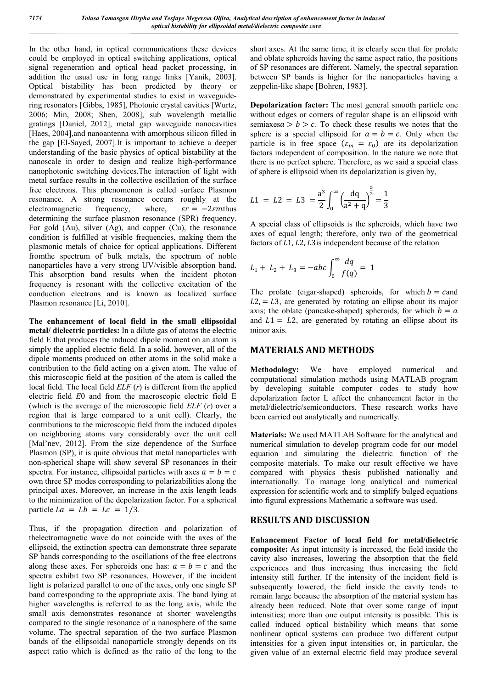In the other hand, in optical communications these devices could be employed in optical switching applications, optical signal regeneration and optical head packet processing, in addition the usual use in long range links [Yanik, 2003]. Optical bistability has been predicted by theory or demonstrated by experimental studies to exist in waveguidering resonators [Gibbs, 1985], Photonic crystal cavities [Wurtz, 2006; Min, 2008; Shen, 2008], sub wavelength metallic gratings [Daniel, 2012], metal gap waveguide nanocavities [Haes, 2004], and nanoantenna with amorphous silicon filled in the gap [El-Sayed, 2007].It is important to achieve a deeper understanding of the basic physics of optical bistability at the nanoscale in order to design and realize high-performance nanophotonic switching devices.The interaction of light with metal surface results in the collective oscillation of the surface free electrons. This phenomenon is called surface Plasmon resonance. A strong resonance occurs roughly at the electromagnetic frequency, where,  $\epsilon r = -2 \epsilon m t$  hus determining the surface plasmon resonance (SPR) frequency. For gold (Au), silver (Ag), and copper (Cu), the resonance condition is fulfilled at visible frequencies, making them the plasmonic metals of choice for optical applications. Different fromthe spectrum of bulk metals, the spectrum of noble nanoparticles have a very strong UV/visible absorption band. This absorption band results when the incident photon frequency is resonant with the collective excitation of the conduction electrons and is known as localized surface Plasmon resonance [Li, 2010].

**The enhancement of local field in the small ellipsoidal metal/ dielectric particles:** In a dilute gas of atoms the electric field E that produces the induced dipole moment on an atom is simply the applied electric field. In a solid, however, all of the dipole moments produced on other atoms in the solid make a contribution to the field acting on a given atom. The value of this microscopic field at the position of the atom is called the local field. The local field *ELF* (*r*) is different from the applied electric field *E*0 and from the macroscopic electric field E (which is the average of the microscopic field *ELF* (*r*) over a region that is large compared to a unit cell). Clearly, the contributions to the microscopic field from the induced dipoles on neighboring atoms vary considerably over the unit cell [Mal'nev, 2012]. From the size dependence of the Surface Plasmon (SP), it is quite obvious that metal nanoparticles with non-spherical shape will show several SP resonances in their spectra. For instance, ellipsoidal particles with axes  $a = b = c$ own three SP modes corresponding to polarizabilities along the principal axes. Moreover, an increase in the axis length leads to the minimization of the depolarization factor. For a spherical particle  $La = Lb = Lc = 1/3$ .

Thus, if the propagation direction and polarization of thelectromagnetic wave do not coincide with the axes of the ellipsoid, the extinction spectra can demonstrate three separate SP bands corresponding to the oscillations of the free electrons along these axes. For spheroids one has:  $a = b = c$  and the spectra exhibit two SP resonances. However, if the incident light is polarized parallel to one of the axes, only one single SP band corresponding to the appropriate axis. The band lying at higher wavelengths is referred to as the long axis, while the small axis demonstrates resonance at shorter wavelengths compared to the single resonance of a nanosphere of the same volume. The spectral separation of the two surface Plasmon bands of the ellipsoidal nanoparticle strongly depends on its aspect ratio which is defined as the ratio of the long to the

short axes. At the same time, it is clearly seen that for prolate and oblate spheroids having the same aspect ratio, the positions of SP resonances are different. Namely, the spectral separation between SP bands is higher for the nanoparticles having a zeppelin-like shape [Bohren, 1983].

**Depolarization factor:** The most general smooth particle one without edges or corners of regular shape is an ellipsoid with semiaxes  $a > b > c$ . To check these results we notes that the sphere is a special ellipsoid for  $a = b = c$ . Only when the particle is in free space  $(\varepsilon_m = \varepsilon_0)$  are its depolarization factors independent of composition. In the nature we note that there is no perfect sphere. Therefore, as we said a special class of sphere is ellipsoid when its depolarization is given by,

$$
L1 = L2 = L3 = \frac{a^3}{2} \int_0^\infty \left(\frac{dq}{a^2 + q}\right)^{\frac{5}{2}} = \frac{1}{3}
$$

A special class of ellipsoids is the spheroids, which have two axes of equal length; therefore, only two of the geometrical factors of  $L<sub>1</sub>, L<sub>2</sub>, L<sub>3</sub>$  is independent because of the relation

$$
L_1 + L_2 + L_3 = -abc \int_0^\infty \frac{dq}{f(q)} = 1
$$

The prolate (cigar-shaped) spheroids, for which  $b =$  cand  $L2 = L3$ , are generated by rotating an ellipse about its major axis; the oblate (pancake-shaped) spheroids, for which  $b = a$ and  $L1 = L2$ , are generated by rotating an ellipse about its minor axis.

### **MATERIALS AND METHODS**

**Methodology:** We have employed numerical and computational simulation methods using MATLAB program by developing suitable computer codes to study how depolarization factor L affect the enhancement factor in the metal/dielectric/semiconductors. These research works have been carried out analytically and numerically.

**Materials:** We used MATLAB Software for the analytical and numerical simulation to develop program code for our model equation and simulating the dielectric function of the composite materials. To make our result effective we have compared with physics thesis published nationally and internationally. To manage long analytical and numerical expression for scientific work and to simplify bulged equations into figural expressions Mathematic a software was used.

#### **RESULTS AND DISCUSSION**

**Enhancement Factor of local field for metal/dielectric composite:** As input intensity is increased, the field inside the cavity also increases, lowering the absorption that the field experiences and thus increasing thus increasing the field intensity still further. If the intensity of the incident field is subsequently lowered, the field inside the cavity tends to remain large because the absorption of the material system has already been reduced. Note that over some range of input intensities; more than one output intensity is possible. This is called induced optical bistability which means that some nonlinear optical systems can produce two different output intensities for a given input intensities or, in particular, the given value of an external electric field may produce several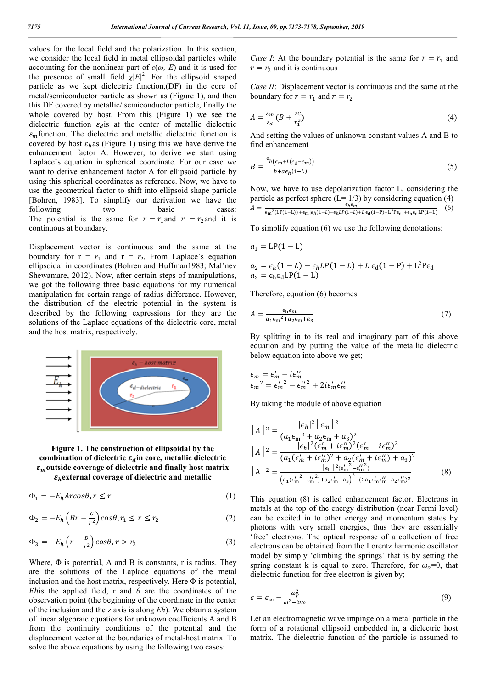values for the local field and the polarization. In this section, we consider the local field in metal ellipsoidal particles while accounting for the nonlinear part of  $\varepsilon(\omega, E)$  and it is used for the presence of small field  $\chi |E|^2$ . For the ellipsoid shaped particle as we kept dielectric function,(DF) in the core of metal/semiconductor particle as shown as (Figure 1), and then this DF covered by metallic/ semiconductor particle, finally the whole covered by host. From this (Figure 1) we see the dielectric function  $\varepsilon_d$  is at the center of metallic dielectric  $\varepsilon_m$  function. The dielectric and metallic dielectric function is covered by host  $\varepsilon_h$  as (Figure 1) using this we have derive the enhancement factor A. However, to derive we start using Laplace's equation in spherical coordinate. For our case we want to derive enhancement factor A for ellipsoid particle by using this spherical coordinates as reference. Now, we have to use the geometrical factor to shift into ellipsoid shape particle [Bohren, 1983]. To simplify our derivation we have the following two basic cases: The potential is the same for  $r = r_1$  and  $r = r_2$  and it is continuous at boundary.

Displacement vector is continuous and the same at the boundary for  $r = r_1$  and  $r = r_2$ . From Laplace's equation ellipsoidal in coordinates (Bohren and Huffman1983; Mal'nev Shewamare, 2012). Now, after certain steps of manipulations, we got the following three basic equations for my numerical manipulation for certain range of radius difference. However, the distribution of the electric potential in the system is described by the following expressions for they are the solutions of the Laplace equations of the dielectric core, metal and the host matrix, respectively.



**Figure 1. The construction of ellipsoidal by the**  combination of dielectric  $\varepsilon_d$  in core, metallic dielectric  $\varepsilon_m$ outside coverage of dielectric and finally host matrix  $\varepsilon_h$  external coverage of dielectric and metallic

$$
\Phi_1 = -E_h \text{Arcos}\theta, r \le r_1 \tag{1}
$$

$$
\Phi_2 = -E_h \left( Br - \frac{c}{r^2} \right) \cos \theta, r_1 \le r \le r_2 \tag{2}
$$

$$
\Phi_3 = -E_h \left( r - \frac{D}{r^2} \right) \cos \theta, r > r_2 \tag{3}
$$

Where,  $\Phi$  is potential, A and B is constants, r is radius. They are the solutions of the Laplace equations of the metal inclusion and the host matrix, respectively. Here  $\Phi$  is potential, *Ehis* the applied field, r and  $\theta$  are the coordinates of the observation point (the beginning of the coordinate in the center of the inclusion and the z axis is along *Eh*). We obtain a system of linear algebraic equations for unknown coefficients A and B from the continuity conditions of the potential and the displacement vector at the boundaries of metal-host matrix. To solve the above equations by using the following two cases:

*Case I*: At the boundary potential is the same for  $r = r_1$  and  $r = r<sub>2</sub>$  and it is continuous

*Case II*: Displacement vector is continuous and the same at the boundary for  $r = r_1$  and  $r = r_2$ 

$$
A = \frac{\varepsilon_m}{\varepsilon_d} \left( B + \frac{2C}{r_1^3} \right) \tag{4}
$$

And setting the values of unknown constant values A and B to find enhancement

$$
B = \frac{\epsilon_{h(\epsilon_m + L(\epsilon_d - \epsilon_m))}}{b + a\epsilon_h(1 - L)}
$$
(5)

Now, we have to use depolarization factor L, considering the particle as perfect sphere  $(L= 1/3)$  by considering equation (4)  $A=\frac{1}{2}$  $\frac{1}{1}$  (6)

$$
I = \epsilon_{\rm m}^2 (LP(1-L)) + \epsilon_{\rm m} [\epsilon_h(1-L) - \epsilon_h LP(1-L) + L \epsilon_d(1-P) + L^2 P \epsilon_d] + \epsilon_h \epsilon_d LP(1-L)
$$

To simplify equation (6) we use the following denotations:

$$
a_1 = LP(1 - L)
$$
  
\n
$$
a_2 = \epsilon_h (1 - L) - \epsilon_h LP(1 - L) + L \epsilon_d (1 - P) + L^2 P \epsilon_d
$$
  
\n
$$
a_3 = \epsilon_h \epsilon_d LP(1 - L)
$$

Therefore, equation (6) becomes

$$
A = \frac{\epsilon_h \epsilon_m}{a_1 \epsilon_m^2 + a_2 \epsilon_m + a_3} \tag{7}
$$

By splitting in to its real and imaginary part of this above equation and by putting the value of the metallic dielectric below equation into above we get;

$$
\epsilon_m = \epsilon'_m + i\epsilon''_m
$$
  
\n
$$
\epsilon_m^2 = \epsilon'_m^2 - \epsilon''_m^2 + 2i\epsilon'_m\epsilon''_m
$$

By taking the module of above equation

$$
|A|^2 = \frac{|\epsilon_h|^2 |\epsilon_m|^2}{(a_1 \epsilon_m^2 + a_2 \epsilon_m + a_3)^2}
$$
  
\n
$$
|A|^2 = \frac{|\epsilon_h|^2 (\epsilon_m' + i \epsilon_m'')^2}{(a_1 (\epsilon_m' + i \epsilon_m'')^2 + a_2 (\epsilon_m' + i \epsilon_m'')^2)}
$$
  
\n
$$
|A|^2 = \frac{|\epsilon_h|^2 (\epsilon_m'^2 + \epsilon_m''^2)}{(\epsilon_h^2 + \epsilon_m'^2 + \epsilon_m'') + \epsilon_h^2 \epsilon_m'^2}
$$
  
\n(8)

This equation (8) is called enhancement factor. Electrons in metals at the top of the energy distribution (near Fermi level) can be excited in to other energy and momentum states by photons with very small energies, thus they are essentially 'free' electrons. The optical response of a collection of free electrons can be obtained from the Lorentz harmonic oscillator model by simply 'climbing the springs' that is by setting the spring constant k is equal to zero. Therefore, for  $\omega_0=0$ , that dielectric function for free electron is given by;

$$
\epsilon = \epsilon_{\infty} - \frac{\omega_p^2}{\omega^2 + i v \omega} \tag{9}
$$

Let an electromagnetic wave impinge on a metal particle in the form of a rotational ellipsoid embedded in, a dielectric host matrix. The dielectric function of the particle is assumed to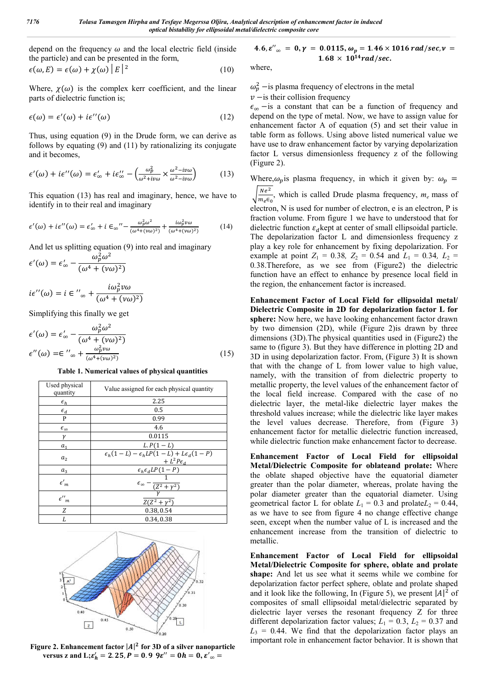depend on the frequency  $\omega$  and the local electric field (inside the particle) and can be presented in the form,

$$
\epsilon(\omega, E) = \epsilon(\omega) + \chi(\omega) |E|^2 \tag{10}
$$

Where,  $\chi(\omega)$  is the complex kerr coefficient, and the linear parts of dielectric function is;

$$
\epsilon(\omega) = \epsilon'(\omega) + i\epsilon''(\omega) \tag{12}
$$

Thus, using equation (9) in the Drude form, we can derive as follows by equating (9) and (11) by rationalizing its conjugate and it becomes,

$$
\epsilon'(\omega) + i\epsilon''(\omega) = \epsilon'_{\infty} + i\epsilon''_{\infty} - \left(\frac{\omega_p^2}{\omega^2 + i\nu\omega} \times \frac{\omega^2 - i\nu\omega}{\omega^2 - i\nu\omega}\right)
$$
(13)

This equation (13) has real and imaginary, hence, we have to identify in to their real and imaginary

$$
\epsilon'(\omega) + i\epsilon''(\omega) = \epsilon'_{\infty} + i\epsilon_{\infty}'' - \frac{\omega_p^2 \omega^2}{(\omega^4 + (\nu\omega)^2)} + \frac{i\omega_p^2 \nu\omega}{(\omega^4 + (\nu\omega)^2)}
$$
(14)

And let us splitting equation (9) into real and imaginary

$$
\epsilon'(\omega) = \epsilon'_{\infty} - \frac{\omega_p^2 \omega^2}{(\omega^4 + (\nu \omega)^2)}
$$

$$
i\epsilon''(\omega) = i \in \alpha'_{\infty} + \frac{i\omega_p^2 \nu \omega}{(\omega^4 + (\nu \omega)^2)}
$$

Simplifying this finally we get

$$
\epsilon'(\omega) = \epsilon'_{\infty} - \frac{\omega_p^2 \omega^2}{(\omega^4 + (\nu \omega)^2)}
$$
  

$$
\epsilon''(\omega) = \epsilon''_{\infty} + \frac{\omega_p^2 \nu \omega}{(\omega^4 + (\nu \omega)^2)}
$$
 (15)

#### **Table 1. Numerical values of physical quantities**

| Used physical<br>quantity     | Value assigned for each physical quantity                                       |
|-------------------------------|---------------------------------------------------------------------------------|
| $\epsilon_h$                  | 2.25                                                                            |
| $\epsilon_d$                  | 0.5                                                                             |
| P                             | 0.99                                                                            |
| $\epsilon_{\infty}$           | 4.6                                                                             |
| γ                             | 0.0115                                                                          |
| a <sub>1</sub>                | $L.P(1-L)$                                                                      |
| a <sub>2</sub>                | $\epsilon_h(1-L) - \epsilon_h LP(1-L) + L\epsilon_d(1-P)$<br>+ $L^2P\epsilon_d$ |
| $a_3$                         | $\epsilon_h \epsilon_d LP (1-P)$                                                |
| $\epsilon'{}_{m}$             | $\epsilon_{\infty}$ - $\frac{1}{(Z^2 + \gamma^2)}$                              |
| ${\epsilon^{\prime\prime}}_m$ | $Z(Z^2 + \gamma^2)$                                                             |
| Ζ                             | 0.38, 0.54                                                                      |
| L                             | 0.34, 0.38                                                                      |



**Figure 2. Enhancement factor**  $|A|^2$  **for 3D of a silver nanoparticle versus z and L;** $\epsilon'_h = 2.25, P = 0.99, \epsilon'' = 0h = 0, \epsilon'_{\infty} =$ 

4.6,  $\varepsilon''_{\infty} = 0$ ,  $\gamma = 0.0115$ ,  $\omega_p = 1.46 \times 1016$  rad/sec,  $\nu =$  $1.68 \times 10^{14}$  rad/sec.

where,

 $\omega_p^2$  –is plasma frequency of electrons in the metal  $v$  −is their collision frequency

 $\epsilon_{\infty}$  –is a constant that can be a function of frequency and depend on the type of metal. Now, we have to assign value for enhancement factor A of equation (5) and set their value in table form as follows. Using above listed numerical value we have use to draw enhancement factor by varying depolarization factor L versus dimensionless frequency z of the following (Figure 2).

Where, $\omega_p$  is plasma frequency, in which it given by:  $\omega_p$  =

 $\sqrt{\frac{Ne^2}{m_e \epsilon_0}}$ , which is called Drude plasma frequency,  $m_e$  mass of electron, N is used for number of electron, e is an electron, P is fraction volume. From figure 1 we have to understood that for dielectric function  $\varepsilon_d$  kept at center of small ellipsoidal particle. The depolarization factor L and dimensionless frequency z play a key role for enhancement by fixing depolarization. For example at point  $Z_1 = 0.38$ ,  $Z_2 = 0.54$  and  $L_1 = 0.34$ ,  $L_2 =$ 0*.*38.Therefore, as we see from (Figure2) the dielectric function have an effect to enhance by presence local field in

the region, the enhancement factor is increased.

**Enhancement Factor of Local Field for ellipsoidal metal/ Dielectric Composite in 2D for depolarization factor L for sphere:** Now here, we have looking enhancement factor drawn by two dimension (2D), while (Figure 2)is drawn by three dimensions (3D).The physical quantities used in (Figure2) the same to (figure 3). But they have difference in plotting 2D and 3D in using depolarization factor. From, (Figure 3) It is shown that with the change of L from lower value to high value, namely, with the transition of from dielectric property to metallic property, the level values of the enhancement factor of the local field increase. Compared with the case of no dielectric layer, the metal-like dielectric layer makes the threshold values increase; while the dielectric like layer makes the level values decrease. Therefore, from (Figure 3) enhancement factor for metallic dielectric function increased, while dielectric function make enhancement factor to decrease.

**Enhancement Factor of Local Field for ellipsoidal Metal/Dielectric Composite for oblateand prolate:** Where the oblate shaped objective have the equatorial diameter greater than the polar diameter, whereas, prolate having the polar diameter greater than the equatorial diameter. Using geometrical factor L for oblate  $L_1 = 0.3$  and prolate  $L_2 = 0.44$ , as we have to see from figure 4 no change effective change seen, except when the number value of L is increased and the enhancement increase from the transition of dielectric to metallic.

**Enhancement Factor of Local Field for ellipsoidal Metal/Dielectric Composite for sphere, oblate and prolate shape:** And let us see what it seems while we combine for depolarization factor perfect sphere, oblate and prolate shaped and it look like the following, In (Figure 5), we present  $|A|^2$  of composites of small ellipsoidal metal/dielectric separated by dielectric layer verses the resonant frequency Z for three different depolarization factor values;  $L_1 = 0.3$ ,  $L_2 = 0.37$  and  $L_3$  = 0.44. We find that the depolarization factor plays an important role in enhancement factor behavior. It is shown that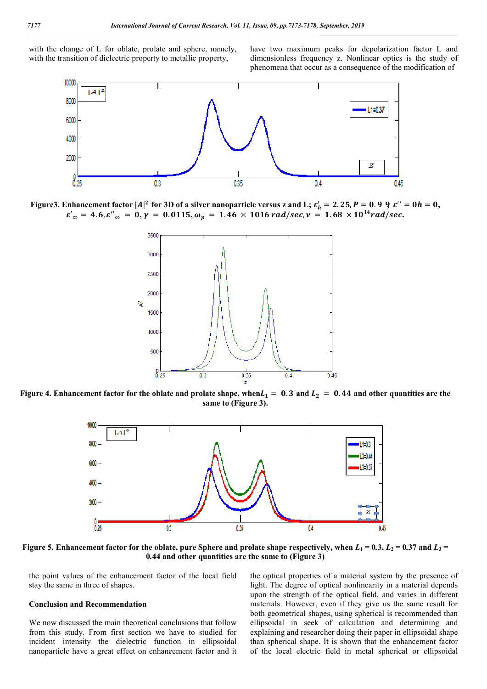with the change of L for oblate, prolate and sphere, namely, with the transition of dielectric property to metallic property,

have two maximum peaks for depolarization factor L and dimensionless frequency z. Nonlinear optics is the study of phenomena that occur as a consequence of the modification of



Figure3. Enhancement factor  $|A|^2$  for 3D of a silver nanoparticle versus z and L;  $\varepsilon'_h = 2.25, P = 0.99, \ \varepsilon'' = 0h = 0,$  $\varepsilon'_{\infty} = 4.6$ ,  $\varepsilon''_{\infty} = 0$ ,  $\gamma = 0.0115$ ,  $\omega_p = 1.46 \times 1016$  rad/sec,  $\nu = 1.68 \times 10^{14}$  rad/sec.



**Figure** 4. Enhancement factor for the oblate and prolate shape, when $L_1 = 0.3$  and  $L_2 = 0.44$  and other quantities are the **same to (Figure 3).**



Figure 5. Enhancement factor for the oblate, pure Sphere and prolate shape respectively, when  $L_1 = 0.3$ ,  $L_2 = 0.37$  and  $L_3 = 0.37$ **0***.***44 and other quantities are the same to (Figure 3)**

the point values of the enhancement factor of the local field stay the same in three of shapes.

#### **Conclusion and Recommendation**

We now discussed the main theoretical conclusions that follow from this study. From first section we have to studied for incident intensity the dielectric function in ellipsoidal nanoparticle have a great effect on enhancement factor and it the optical properties of a material system by the presence of light. The degree of optical nonlinearity in a material depends upon the strength of the optical field, and varies in different materials. However, even if they give us the same result for both geometrical shapes, using spherical is recommended than ellipsoidal in seek of calculation and determining and explaining and researcher doing their paper in ellipsoidal shape than spherical shape. It is shown that the enhancement factor of the local electric field in metal spherical or ellipsoidal